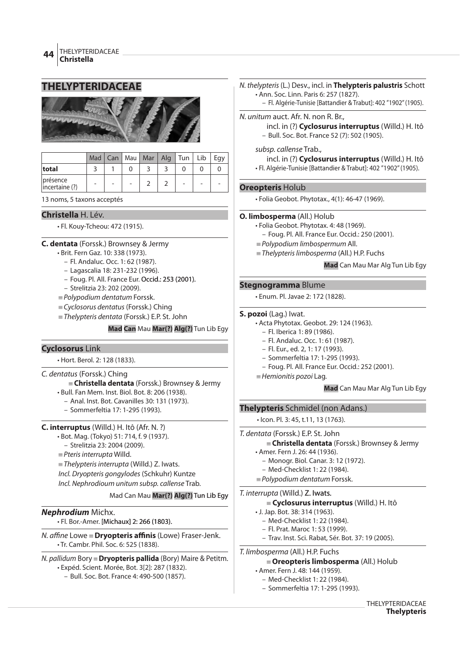## **THELYPTERIDACEAE**



|                            |  | Mad   Can   Mau   Mar   Alg   Tun   Lib |  |  | Eav |
|----------------------------|--|-----------------------------------------|--|--|-----|
| total                      |  |                                         |  |  |     |
| présence<br>incertaine (?) |  |                                         |  |  |     |

13 noms, 5 taxons acceptés

## **Christella** H. Lév.

• Fl. Kouy-Tcheou: 472 (1915).

### **C. dentata** (Forssk.) Brownsey & Jermy

- Brit. Fern Gaz. 10: 338 (1973).
	- Fl. Andaluc. Occ. 1: 62 (1987).
	- Lagascalia 18: 231-232 (1996).
	- Foug. Pl. All. France Eur. Occid.: 253 (2001).
	- Strelitzia 23: 202 (2009).
- $=$  Polypodium dentatum Forssk.
- $\equiv$  Cyclosorus dentatus (Forssk.) Ching
- $=$  Thelypteris dentata (Forssk.) E.P. St. John

### **Mad Can** Mau **Mar(?) Alg(?)** Tun Lib Egy

## **Cyclosorus** Link

• Hort. Berol. 2: 128 (1833).

### C. dentatus (Forssk.) Ching

- { **Christella dentata** (Forssk.) Brownsey & Jermy
- Bull. Fan Mem. Inst. Biol. Bot. 8: 206 (1938). – Anal. Inst. Bot. Cavanilles 30: 131 (1973).
	- Sommerfeltia 17: 1-295 (1993).
- 

## **C. interruptus** (Willd.) H. Itô (Afr. N. ?)

- Bot. Mag. (Tokyo) 51: 714, f. 9 (1937).
	- Strelitzia 23: 2004 (2009).
- $=$  Pteris interrupta Willd.

 $=$  Thelypteris interrupta (Willd.) Z. Iwats. Incl. Dryopteris gongylodes (Schkuhr) Kuntze Incl. Nephrodioum unitum subsp. callense Trab.

### Mad Can Mau **Mar(?) Alg(?)** Tun Lib Egy

## **Nephrodium** Michx.

• Fl. Bor.-Amer. [Michaux] 2: 266 (1803).

N. affine Lowe = Dryopteris affinis (Lowe) Fraser-Jenk. • Tr. Cambr. Phil. Soc. 6: 525 (1838).

N. pallidum Bory {**Dryopteris pallida** (Bory) Maire & Petitm. • Expéd. Scient. Morée, Bot. 3[2]: 287 (1832).

– Bull. Soc. Bot. France 4: 490-500 (1857).

### N. thelypteris (L.) Desv., incl. in **Thelypteris palustris** Schott • Ann. Soc. Linn. Paris 6: 257 (1827).

– Fl. Algérie-Tunisie [Battandier & Trabut]: 402 "1902" (1905).

- N. unitum auct. Afr. N. non R. Br., incl. in (?) **Cyclosurus interruptus** (Willd.) H. Itô – Bull. Soc. Bot. France 52 (7): 502 (1905).
	-
	- subsp. callense Trab.,

incl. in (?) **Cyclosurus interruptus** (Willd.) H. Itô • Fl. Algérie-Tunisie [Battandier & Trabut]: 402 "1902" (1905).

### **Oreopteris** Holub

• Folia Geobot. Phytotax., 4(1): 46-47 (1969).

### **O. limbosperma** (All.) Holub

- Folia Geobot. Phytotax. 4: 48 (1969).
	- Foug. Pl. All. France Eur. Occid.: 250 (2001).
- $\equiv$  Polypodium limbospermum All.
- $=$  Thelypteris limbosperma (All.) H.P. Fuchs

**Mad** Can Mau Mar Alg Tun Lib Egy

### **Stegnogramma** Blume

• Enum. Pl. Javae 2: 172 (1828).

#### **S. pozoi** (Lag.) Iwat.

- Acta Phytotax. Geobot. 29: 124 (1963).
- Fl. Iberica 1: 89 (1986).
	- Fl. Andaluc. Occ. 1: 61 (1987).
	- Fl. Eur., ed. 2, 1: 17 (1993).
- Sommerfeltia 17: 1-295 (1993).
- Foug. Pl. All. France Eur. Occid.: 252 (2001).
- $=$  Hemionitis pozoi Lag.

**Mad** Can Mau Mar Alg Tun Lib Egy

## **Thelypteris** Schmidel (non Adans.)

• Icon. Pl. 3: 45, t.11, 13 (1763).

- T. dentata (Forssk.) E.P. St. John { **Christella dentata** (Forssk.) Brownsey & Jermy • Amer. Fern J. 26: 44 (1936).
	- Monogr. Biol. Canar. 3: 12 (1972).
	- Med-Checklist 1: 22 (1984).
	- $=$  Polypodium dentatum Forssk.

# T. interrupta (Willd.) Z. Iwats.

## { **Cyclosurus interruptus** (Willd.) H. Itô

- J. Jap. Bot. 38: 314 (1963).
	- Med-Checklist 1: 22 (1984).
	- Fl. Prat. Maroc 1: 53 (1999).
- Trav. Inst. Sci. Rabat, Sér. Bot. 37: 19 (2005).

T. limbosperma (All.) H.P. Fuchs

#### { **Oreopteris limbosperma** (All.) Holub

- Amer. Fern J. 48: 144 (1959).
	- Med-Checklist 1: 22 (1984).
	- Sommerfeltia 17: 1-295 (1993).